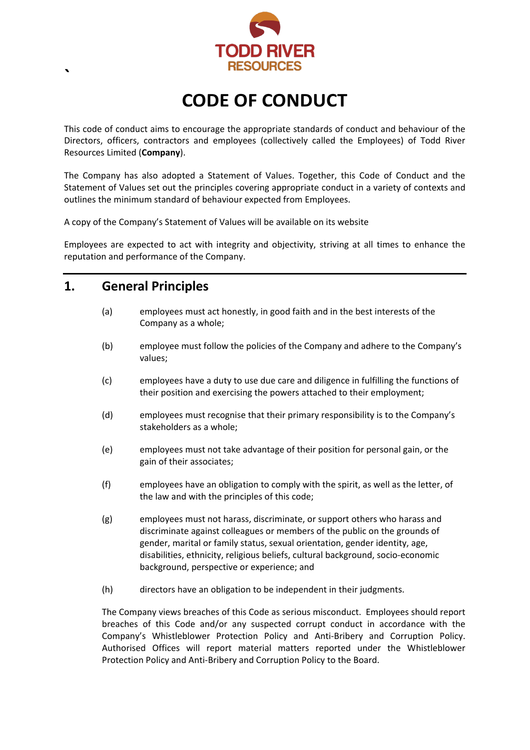

# **CODE OF CONDUCT**

This code of conduct aims to encourage the appropriate standards of conduct and behaviour of the Directors, officers, contractors and employees (collectively called the Employees) of Todd River Resources Limited (**Company**).

The Company has also adopted a Statement of Values. Together, this Code of Conduct and the Statement of Values set out the principles covering appropriate conduct in a variety of contexts and outlines the minimum standard of behaviour expected from Employees.

A copy of the Company's Statement of Values will be available on its website

Employees are expected to act with integrity and objectivity, striving at all times to enhance the reputation and performance of the Company.

#### **1. General Principles**

**`**

- (a) employees must act honestly, in good faith and in the best interests of the Company as a whole;
- (b) employee must follow the policies of the Company and adhere to the Company's values;
- (c) employees have a duty to use due care and diligence in fulfilling the functions of their position and exercising the powers attached to their employment;
- (d) employees must recognise that their primary responsibility is to the Company's stakeholders as a whole;
- (e) employees must not take advantage of their position for personal gain, or the gain of their associates;
- (f) employees have an obligation to comply with the spirit, as well as the letter, of the law and with the principles of this code;
- (g) employees must not harass, discriminate, or support others who harass and discriminate against colleagues or members of the public on the grounds of gender, marital or family status, sexual orientation, gender identity, age, disabilities, ethnicity, religious beliefs, cultural background, socio-economic background, perspective or experience; and
- (h) directors have an obligation to be independent in their judgments.

The Company views breaches of this Code as serious misconduct. Employees should report breaches of this Code and/or any suspected corrupt conduct in accordance with the Company's Whistleblower Protection Policy and Anti-Bribery and Corruption Policy. Authorised Offices will report material matters reported under the Whistleblower Protection Policy and Anti-Bribery and Corruption Policy to the Board.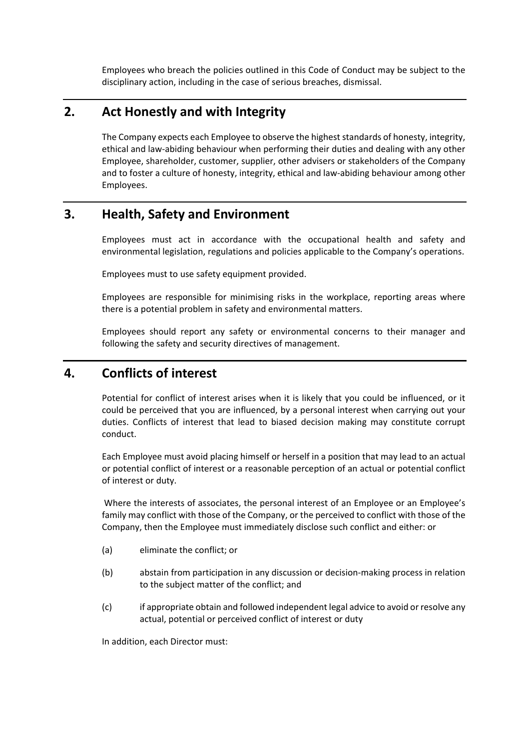Employees who breach the policies outlined in this Code of Conduct may be subject to the disciplinary action, including in the case of serious breaches, dismissal.

#### **2. Act Honestly and with Integrity**

The Company expects each Employee to observe the highest standards of honesty, integrity, ethical and law-abiding behaviour when performing their duties and dealing with any other Employee, shareholder, customer, supplier, other advisers or stakeholders of the Company and to foster a culture of honesty, integrity, ethical and law-abiding behaviour among other Employees.

# **3. Health, Safety and Environment**

Employees must act in accordance with the occupational health and safety and environmental legislation, regulations and policies applicable to the Company's operations.

Employees must to use safety equipment provided.

Employees are responsible for minimising risks in the workplace, reporting areas where there is a potential problem in safety and environmental matters.

Employees should report any safety or environmental concerns to their manager and following the safety and security directives of management.

#### **4. Conflicts of interest**

Potential for conflict of interest arises when it is likely that you could be influenced, or it could be perceived that you are influenced, by a personal interest when carrying out your duties. Conflicts of interest that lead to biased decision making may constitute corrupt conduct.

Each Employee must avoid placing himself or herself in a position that may lead to an actual or potential conflict of interest or a reasonable perception of an actual or potential conflict of interest or duty.

Where the interests of associates, the personal interest of an Employee or an Employee's family may conflict with those of the Company, or the perceived to conflict with those of the Company, then the Employee must immediately disclose such conflict and either: or

- (a) eliminate the conflict; or
- (b) abstain from participation in any discussion or decision-making process in relation to the subject matter of the conflict; and
- (c) if appropriate obtain and followed independent legal advice to avoid or resolve any actual, potential or perceived conflict of interest or duty

In addition, each Director must: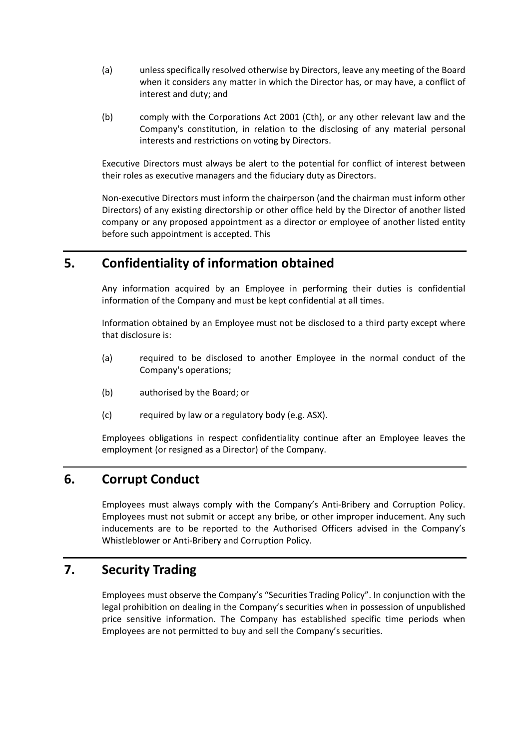- (a) unless specifically resolved otherwise by Directors, leave any meeting of the Board when it considers any matter in which the Director has, or may have, a conflict of interest and duty; and
- (b) comply with the Corporations Act 2001 (Cth), or any other relevant law and the Company's constitution, in relation to the disclosing of any material personal interests and restrictions on voting by Directors.

Executive Directors must always be alert to the potential for conflict of interest between their roles as executive managers and the fiduciary duty as Directors.

Non-executive Directors must inform the chairperson (and the chairman must inform other Directors) of any existing directorship or other office held by the Director of another listed company or any proposed appointment as a director or employee of another listed entity before such appointment is accepted. This

# **5. Confidentiality of information obtained**

Any information acquired by an Employee in performing their duties is confidential information of the Company and must be kept confidential at all times.

Information obtained by an Employee must not be disclosed to a third party except where that disclosure is:

- (a) required to be disclosed to another Employee in the normal conduct of the Company's operations;
- (b) authorised by the Board; or
- (c) required by law or a regulatory body (e.g. ASX).

Employees obligations in respect confidentiality continue after an Employee leaves the employment (or resigned as a Director) of the Company.

# **6. Corrupt Conduct**

Employees must always comply with the Company's Anti-Bribery and Corruption Policy. Employees must not submit or accept any bribe, or other improper inducement. Any such inducements are to be reported to the Authorised Officers advised in the Company's Whistleblower or Anti-Bribery and Corruption Policy.

#### **7. Security Trading**

Employees must observe the Company's "Securities Trading Policy". In conjunction with the legal prohibition on dealing in the Company's securities when in possession of unpublished price sensitive information. The Company has established specific time periods when Employees are not permitted to buy and sell the Company's securities.